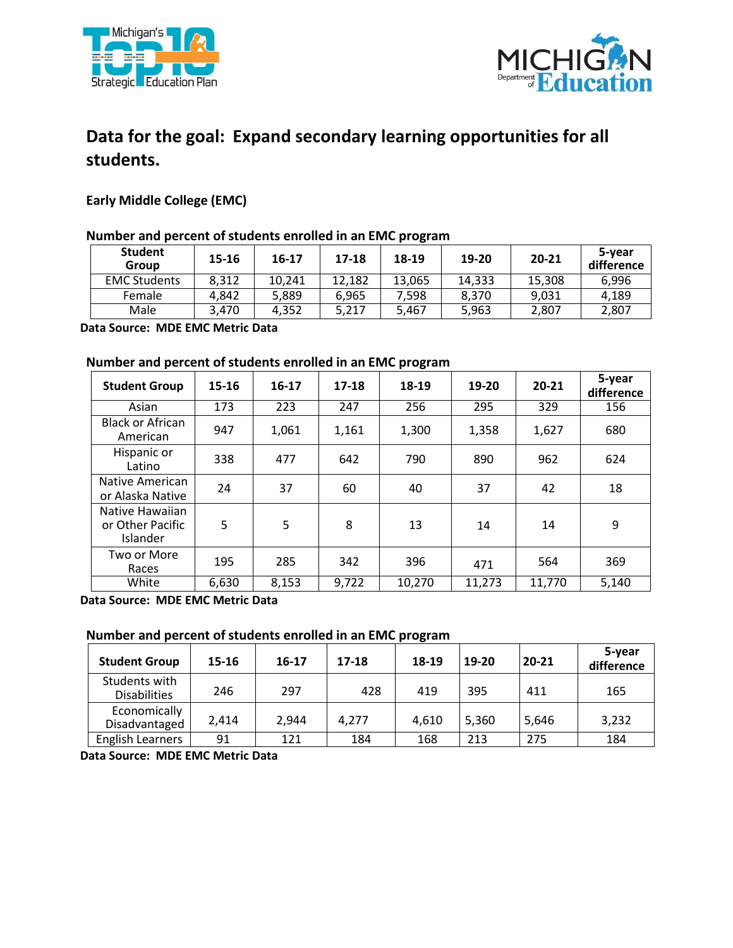



# **Data for the goal: Expand secondary learning opportunities for all students.**

## **Early Middle College (EMC)**

### **Number and percent of students enrolled in an EMC program**

| <b>Student</b><br>Group | 15-16 | 16-17  | 17-18  | 18-19  | 19-20  | 20-21  | 5-year<br>difference |
|-------------------------|-------|--------|--------|--------|--------|--------|----------------------|
| <b>EMC Students</b>     | 8.312 | 10.241 | 12.182 | 13,065 | 14.333 | 15,308 | 6.996                |
| Female                  | 4.842 | 5.889  | 6.965  | 7.598  | 8.370  | 9.031  | 4.189                |
| Male                    | 3.470 | 4.352  | 5,217  | 5,467  | 5,963  | 2,807  | 2,807                |

 **Data Source: MDE EMC Metric Data** 

#### **Number and percent of students enrolled in an EMC program**

| <b>Student Group</b>                            | 15-16 | 16-17 | $17 - 18$ | 18-19  | 19-20  | 20-21  | 5-year<br>difference |
|-------------------------------------------------|-------|-------|-----------|--------|--------|--------|----------------------|
| Asian                                           | 173   | 223   | 247       | 256    | 295    | 329    | 156                  |
| <b>Black or African</b><br>American             | 947   | 1,061 | 1,161     | 1,300  | 1,358  | 1,627  | 680                  |
| Hispanic or<br>Latino                           | 338   | 477   | 642       | 790    | 890    | 962    | 624                  |
| Native American<br>or Alaska Native             | 24    | 37    | 60        | 40     | 37     | 42     | 18                   |
| Native Hawaiian<br>or Other Pacific<br>Islander | 5     | 5     | 8         | 13     | 14     | 14     | 9                    |
| Two or More<br>Races                            | 195   | 285   | 342       | 396    | 471    | 564    | 369                  |
| White                                           | 6,630 | 8,153 | 9,722     | 10,270 | 11,273 | 11,770 | 5,140                |

 **Data Source: MDE EMC Metric Data** 

## **Number and percent of students enrolled in an EMC program**

| <b>Student Group</b>                 | 15-16 | 16-17 | $17 - 18$ | 18-19 | 19-20 | $20 - 21$ | 5-year<br>difference |
|--------------------------------------|-------|-------|-----------|-------|-------|-----------|----------------------|
| Students with<br><b>Disabilities</b> | 246   | 297   | 428       | 419   | 395   | 411       | 165                  |
| Economically<br>Disadvantaged        | 2,414 | 2,944 | 4.277     | 4,610 | 5,360 | 5,646     | 3,232                |
| <b>English Learners</b>              | 91    | 121   | 184       | 168   | 213   | 275       | 184                  |

 **Data Source: MDE EMC Metric Data**